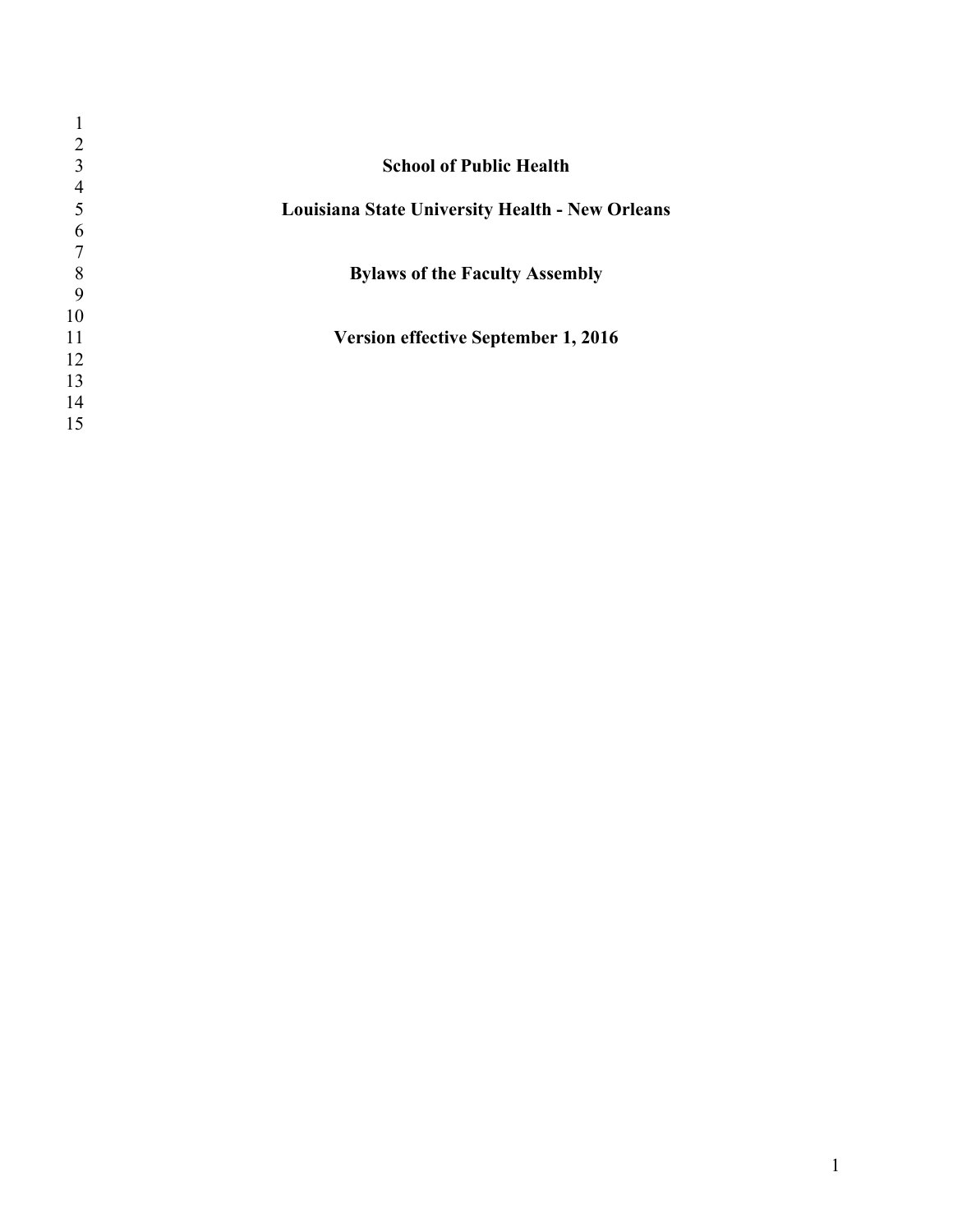| 2  |                                                 |
|----|-------------------------------------------------|
| 3  | <b>School of Public Health</b>                  |
| 4  |                                                 |
| 5  | Louisiana State University Health - New Orleans |
| 6  |                                                 |
| 7  |                                                 |
| 8  | <b>Bylaws of the Faculty Assembly</b>           |
| 9  |                                                 |
| 10 |                                                 |
| 11 | <b>Version effective September 1, 2016</b>      |
| 12 |                                                 |
| 13 |                                                 |
| 14 |                                                 |
| 15 |                                                 |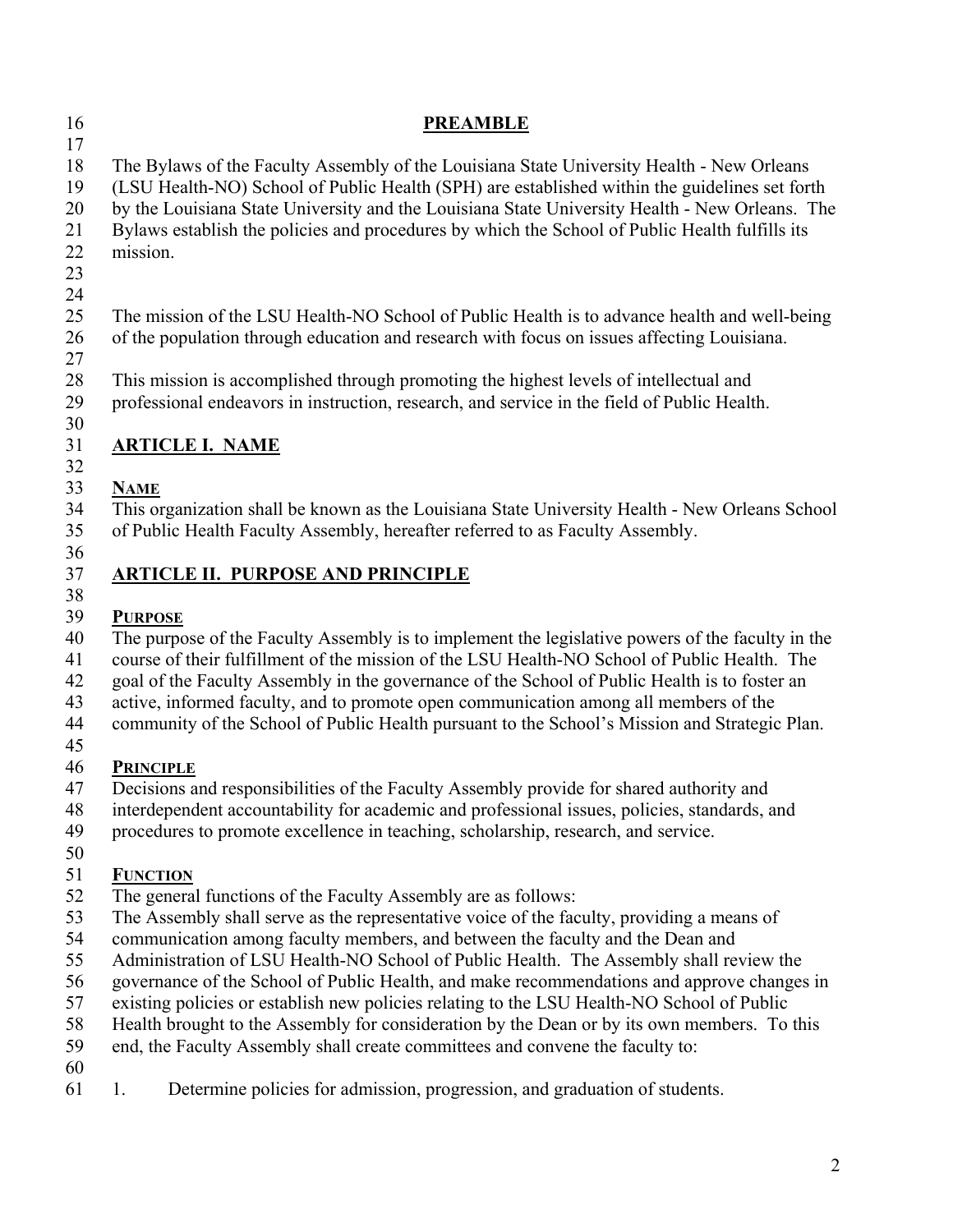| <b>PREAMBLE</b>                                                                                                                                                                                                                                                                                                                                                                                                                                                                                                                                                                                                                                                                                                                                                                                                          |
|--------------------------------------------------------------------------------------------------------------------------------------------------------------------------------------------------------------------------------------------------------------------------------------------------------------------------------------------------------------------------------------------------------------------------------------------------------------------------------------------------------------------------------------------------------------------------------------------------------------------------------------------------------------------------------------------------------------------------------------------------------------------------------------------------------------------------|
| The Bylaws of the Faculty Assembly of the Louisiana State University Health - New Orleans<br>(LSU Health-NO) School of Public Health (SPH) are established within the guidelines set forth<br>by the Louisiana State University and the Louisiana State University Health - New Orleans. The<br>Bylaws establish the policies and procedures by which the School of Public Health fulfills its<br>mission.                                                                                                                                                                                                                                                                                                                                                                                                               |
| The mission of the LSU Health-NO School of Public Health is to advance health and well-being<br>of the population through education and research with focus on issues affecting Louisiana.                                                                                                                                                                                                                                                                                                                                                                                                                                                                                                                                                                                                                               |
| This mission is accomplished through promoting the highest levels of intellectual and<br>professional endeavors in instruction, research, and service in the field of Public Health.                                                                                                                                                                                                                                                                                                                                                                                                                                                                                                                                                                                                                                     |
| <b>ARTICLE I. NAME</b>                                                                                                                                                                                                                                                                                                                                                                                                                                                                                                                                                                                                                                                                                                                                                                                                   |
| <b>NAME</b><br>This organization shall be known as the Louisiana State University Health - New Orleans School<br>of Public Health Faculty Assembly, hereafter referred to as Faculty Assembly.                                                                                                                                                                                                                                                                                                                                                                                                                                                                                                                                                                                                                           |
| <b>ARTICLE II. PURPOSE AND PRINCIPLE</b>                                                                                                                                                                                                                                                                                                                                                                                                                                                                                                                                                                                                                                                                                                                                                                                 |
| <b>PURPOSE</b><br>The purpose of the Faculty Assembly is to implement the legislative powers of the faculty in the<br>course of their fulfillment of the mission of the LSU Health-NO School of Public Health. The<br>goal of the Faculty Assembly in the governance of the School of Public Health is to foster an<br>active, informed faculty, and to promote open communication among all members of the<br>community of the School of Public Health pursuant to the School's Mission and Strategic Plan.                                                                                                                                                                                                                                                                                                             |
| <b>PRINCIPLE</b><br>Decisions and responsibilities of the Faculty Assembly provide for shared authority and<br>interdependent accountability for academic and professional issues, policies, standards, and<br>procedures to promote excellence in teaching, scholarship, research, and service.                                                                                                                                                                                                                                                                                                                                                                                                                                                                                                                         |
| <b>FUNCTION</b><br>The general functions of the Faculty Assembly are as follows:<br>The Assembly shall serve as the representative voice of the faculty, providing a means of<br>communication among faculty members, and between the faculty and the Dean and<br>Administration of LSU Health-NO School of Public Health. The Assembly shall review the<br>governance of the School of Public Health, and make recommendations and approve changes in<br>existing policies or establish new policies relating to the LSU Health-NO School of Public<br>Health brought to the Assembly for consideration by the Dean or by its own members. To this<br>end, the Faculty Assembly shall create committees and convene the faculty to:<br>Determine policies for admission, progression, and graduation of students.<br>1. |
|                                                                                                                                                                                                                                                                                                                                                                                                                                                                                                                                                                                                                                                                                                                                                                                                                          |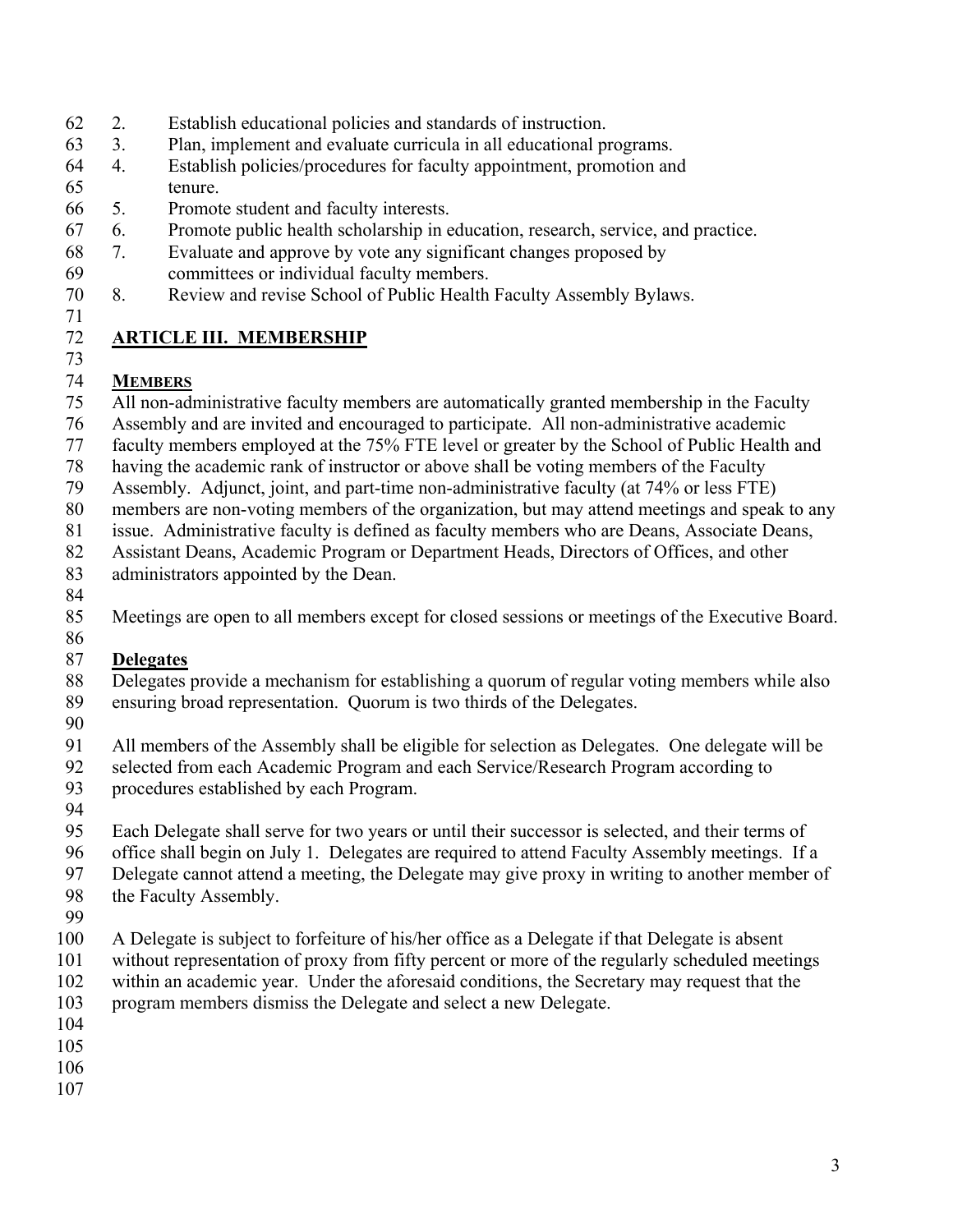## 62 2. Establish educational policies and standards of instruction.

- 63 3. Plan, implement and evaluate curricula in all educational programs.
- 64 4. Establish policies/procedures for faculty appointment, promotion and 65 tenure.
- 66 5. Promote student and faculty interests.
- 67 6. Promote public health scholarship in education, research, service, and practice.
- 68 7. Evaluate and approve by vote any significant changes proposed by 69 committees or individual faculty members.
- 70 8. Review and revise School of Public Health Faculty Assembly Bylaws.
- 71

73

## 72 **ARTICLE III. MEMBERSHIP**

## 74 **MEMBERS**

- 75 All non-administrative faculty members are automatically granted membership in the Faculty
- 76 Assembly and are invited and encouraged to participate. All non-administrative academic
- 77 faculty members employed at the 75% FTE level or greater by the School of Public Health and
- 78 having the academic rank of instructor or above shall be voting members of the Faculty
- 79 Assembly. Adjunct, joint, and part-time non-administrative faculty (at 74% or less FTE)
- 80 members are non-voting members of the organization, but may attend meetings and speak to any
- 81 issue. Administrative faculty is defined as faculty members who are Deans, Associate Deans,
- 82 Assistant Deans, Academic Program or Department Heads, Directors of Offices, and other
- 83 administrators appointed by the Dean.
- 84
- 85 Meetings are open to all members except for closed sessions or meetings of the Executive Board.

#### 86 87 **Delegates**

- 88 Delegates provide a mechanism for establishing a quorum of regular voting members while also 89 ensuring broad representation. Quorum is two thirds of the Delegates.
- 90
- 91 All members of the Assembly shall be eligible for selection as Delegates. One delegate will be
- 92 selected from each Academic Program and each Service/Research Program according to
- 93 procedures established by each Program.
- 94
- 95 Each Delegate shall serve for two years or until their successor is selected, and their terms of
- 96 office shall begin on July 1. Delegates are required to attend Faculty Assembly meetings. If a
- 97 Delegate cannot attend a meeting, the Delegate may give proxy in writing to another member of
- 98 the Faculty Assembly.
- 99
- 100 A Delegate is subject to forfeiture of his/her office as a Delegate if that Delegate is absent
- 101 without representation of proxy from fifty percent or more of the regularly scheduled meetings 102 within an academic year. Under the aforesaid conditions, the Secretary may request that the
- 103 program members dismiss the Delegate and select a new Delegate.
- 104
- 105
- 106
- 107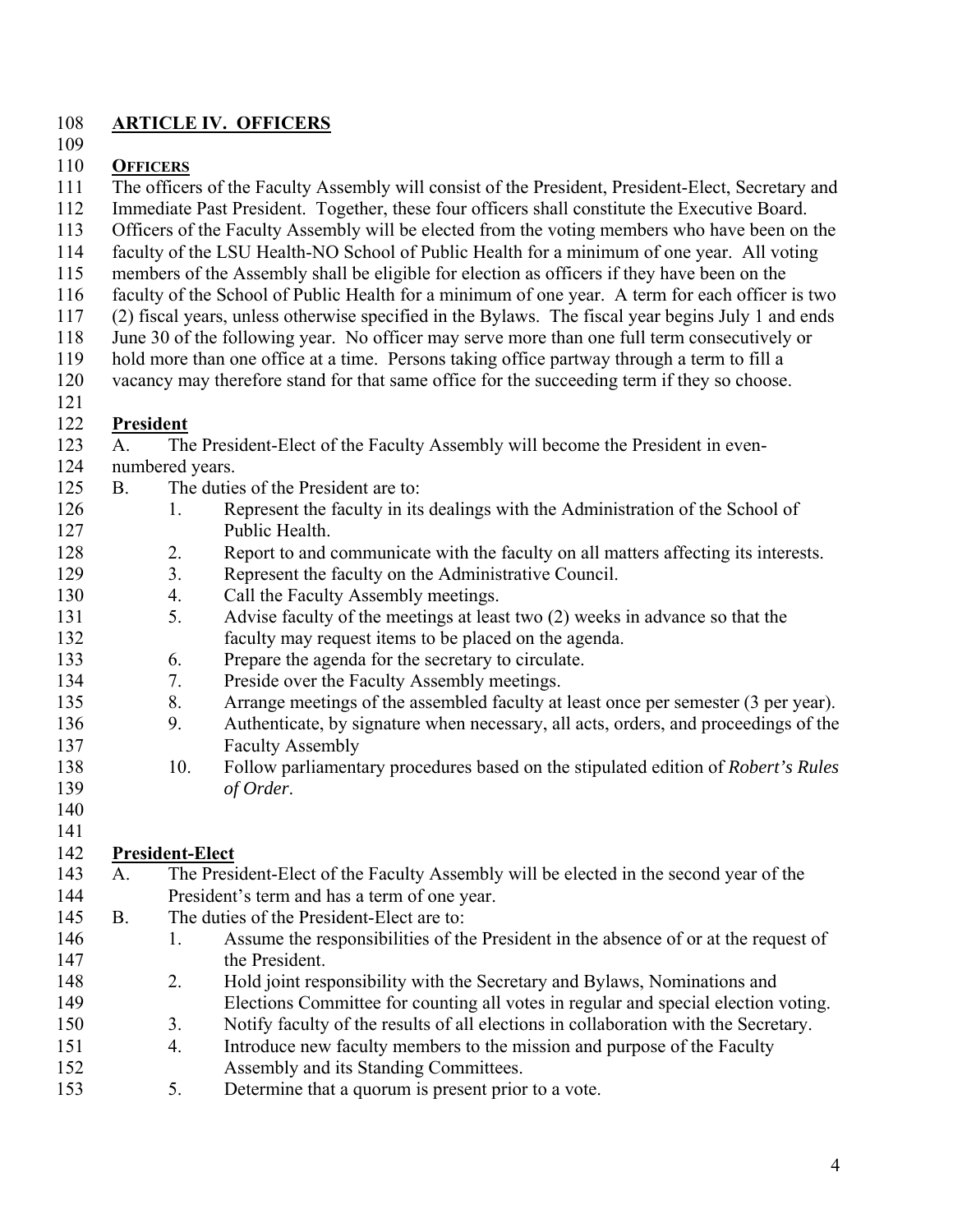## 108 **ARTICLE IV. OFFICERS**

109

### 110 **OFFICERS**

111 The officers of the Faculty Assembly will consist of the President, President-Elect, Secretary and

112 Immediate Past President. Together, these four officers shall constitute the Executive Board.

- 113 Officers of the Faculty Assembly will be elected from the voting members who have been on the
- 114 faculty of the LSU Health-NO School of Public Health for a minimum of one year. All voting
- 115 members of the Assembly shall be eligible for election as officers if they have been on the
- 116 faculty of the School of Public Health for a minimum of one year. A term for each officer is two
- 117 (2) fiscal years, unless otherwise specified in the Bylaws. The fiscal year begins July 1 and ends
- 118 June 30 of the following year. No officer may serve more than one full term consecutively or
- 119 hold more than one office at a time. Persons taking office partway through a term to fill a
- 120 vacancy may therefore stand for that same office for the succeeding term if they so choose.
- 121

## 122 **President**

- 123 A. The President-Elect of the Faculty Assembly will become the President in even-
- 124 numbered years.
- 125 B. The duties of the President are to:
- 126 1. Represent the faculty in its dealings with the Administration of the School of 127 Public Health.
- 128 2. Report to and communicate with the faculty on all matters affecting its interests.
- 129 3. Represent the faculty on the Administrative Council.
- 130 4. Call the Faculty Assembly meetings.
- 131 5. Advise faculty of the meetings at least two (2) weeks in advance so that the 132 faculty may request items to be placed on the agenda.
- 133 6. Prepare the agenda for the secretary to circulate.
- 134 7. Preside over the Faculty Assembly meetings.
- 135 8. Arrange meetings of the assembled faculty at least once per semester (3 per year).
- 136 9. Authenticate, by signature when necessary, all acts, orders, and proceedings of the 137 Faculty Assembly
- 138 10. Follow parliamentary procedures based on the stipulated edition of *Robert's Rules*  139 *of Order*.

#### 140 141

## 142 **President-Elect**

- 143 A. The President-Elect of the Faculty Assembly will be elected in the second year of the 144 President's term and has a term of one year.
- 145 B. The duties of the President-Elect are to:
- 146 1. Assume the responsibilities of the President in the absence of or at the request of 147 the President.
- 148 2. Hold joint responsibility with the Secretary and Bylaws, Nominations and 149 Elections Committee for counting all votes in regular and special election voting.
- 150 3. Notify faculty of the results of all elections in collaboration with the Secretary. 151 4. Introduce new faculty members to the mission and purpose of the Faculty
- 152 Assembly and its Standing Committees.
- 153 5. Determine that a quorum is present prior to a vote.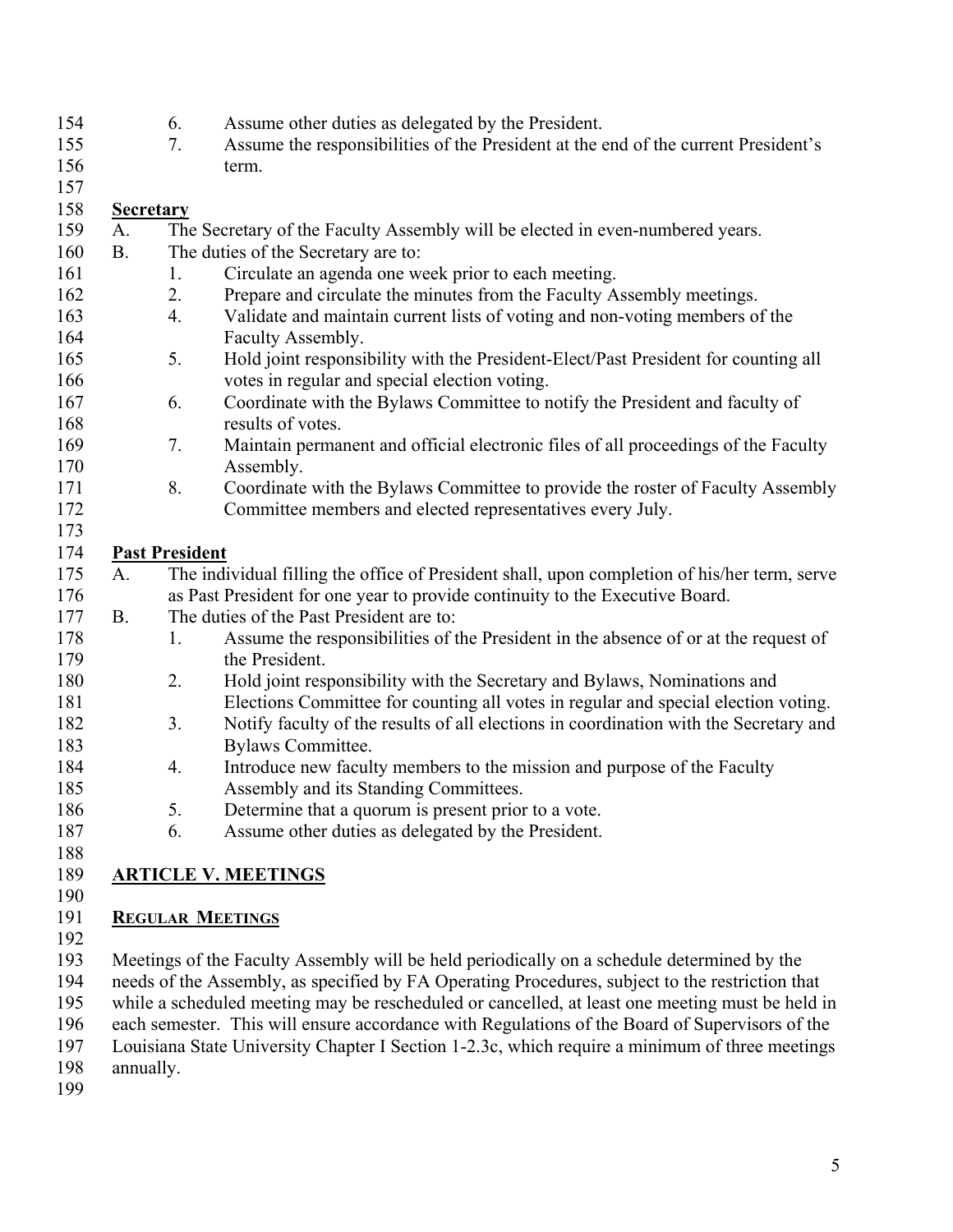- 154 6. Assume other duties as delegated by the President.
- 155 7. Assume the responsibilities of the President at the end of the current President's 156 term.

## 158 **Secretary**

157

- 159 A. The Secretary of the Faculty Assembly will be elected in even-numbered years. 160 B. The duties of the Secretary are to: 161 1. Circulate an agenda one week prior to each meeting. 162 2. Prepare and circulate the minutes from the Faculty Assembly meetings. 163 4. Validate and maintain current lists of voting and non-voting members of the 164 **Faculty Assembly.** 165 5. Hold joint responsibility with the President-Elect/Past President for counting all 166 votes in regular and special election voting. 167 6. Coordinate with the Bylaws Committee to notify the President and faculty of 168 results of votes. 169 7. Maintain permanent and official electronic files of all proceedings of the Faculty 170 Assembly. 171 8. Coordinate with the Bylaws Committee to provide the roster of Faculty Assembly 172 Committee members and elected representatives every July. 173 174 **Past President**  175 A. The individual filling the office of President shall, upon completion of his/her term, serve 176 as Past President for one year to provide continuity to the Executive Board. 177 B. The duties of the Past President are to: 178 1. Assume the responsibilities of the President in the absence of or at the request of 179 the President. 180 2. Hold joint responsibility with the Secretary and Bylaws, Nominations and 181 Elections Committee for counting all votes in regular and special election voting.
- 182 3. Notify faculty of the results of all elections in coordination with the Secretary and 183 Bylaws Committee.
- 184 4. Introduce new faculty members to the mission and purpose of the Faculty 185 Assembly and its Standing Committees.
- 186 5. Determine that a quorum is present prior to a vote.
- 187 6. Assume other duties as delegated by the President.
- 188

## 189 **ARTICLE V. MEETINGS**

190

## 191 **REGULAR MEETINGS**

192

193 Meetings of the Faculty Assembly will be held periodically on a schedule determined by the

194 needs of the Assembly, as specified by FA Operating Procedures, subject to the restriction that

195 while a scheduled meeting may be rescheduled or cancelled, at least one meeting must be held in

196 each semester. This will ensure accordance with Regulations of the Board of Supervisors of the

197 Louisiana State University Chapter I Section 1-2.3c, which require a minimum of three meetings

- 198 annually.
- 199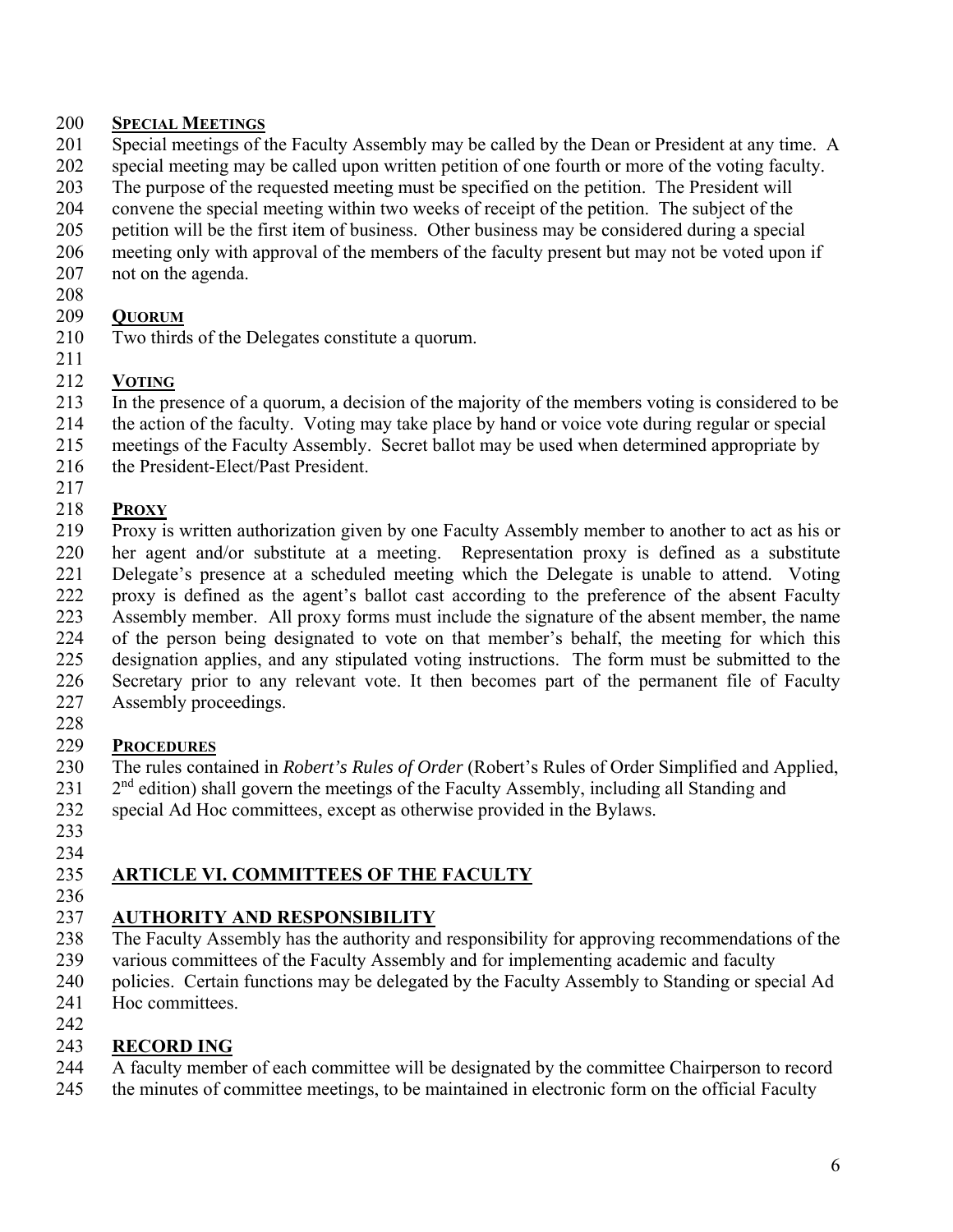### 200 **SPECIAL MEETINGS**

- 201 Special meetings of the Faculty Assembly may be called by the Dean or President at any time. A
- 202 special meeting may be called upon written petition of one fourth or more of the voting faculty.
- 203 The purpose of the requested meeting must be specified on the petition. The President will
- 204 convene the special meeting within two weeks of receipt of the petition. The subject of the
- 205 petition will be the first item of business. Other business may be considered during a special
- 206 meeting only with approval of the members of the faculty present but may not be voted upon if
- 207 not on the agenda.
- 208

217

## 209 **QUORUM**

210 Two thirds of the Delegates constitute a quorum. 211

## 212 **VOTING**

- 213 In the presence of a quorum, a decision of the majority of the members voting is considered to be
- 214 the action of the faculty. Voting may take place by hand or voice vote during regular or special
- 215 meetings of the Faculty Assembly. Secret ballot may be used when determined appropriate by
- 216 the President-Elect/Past President.

## 218 **PROXY**

- 219 Proxy is written authorization given by one Faculty Assembly member to another to act as his or 220 her agent and/or substitute at a meeting. Representation proxy is defined as a substitute 221 Delegate's presence at a scheduled meeting which the Delegate is unable to attend. Voting 222 proxy is defined as the agent's ballot cast according to the preference of the absent Faculty 223 Assembly member. All proxy forms must include the signature of the absent member, the name 224 of the person being designated to vote on that member's behalf, the meeting for which this 225 designation applies, and any stipulated voting instructions. The form must be submitted to the 226 Secretary prior to any relevant vote. It then becomes part of the permanent file of Faculty 227 Assembly proceedings.
- 228

## 229 **PROCEDURES**

- 230 The rules contained in *Robert's Rules of Order* (Robert's Rules of Order Simplified and Applied,
- $231$   $2<sup>nd</sup>$  edition) shall govern the meetings of the Faculty Assembly, including all Standing and
- 232 special Ad Hoc committees, except as otherwise provided in the Bylaws.
- 233 234

# 235 **ARTICLE VI. COMMITTEES OF THE FACULTY**

236

# 237 **AUTHORITY AND RESPONSIBILITY**

- 238 The Faculty Assembly has the authority and responsibility for approving recommendations of the
- 239 various committees of the Faculty Assembly and for implementing academic and faculty
- 240 policies. Certain functions may be delegated by the Faculty Assembly to Standing or special Ad
- 241 Hoc committees.

#### 242 243 **RECORD ING**

- 244 A faculty member of each committee will be designated by the committee Chairperson to record
- 245 the minutes of committee meetings, to be maintained in electronic form on the official Faculty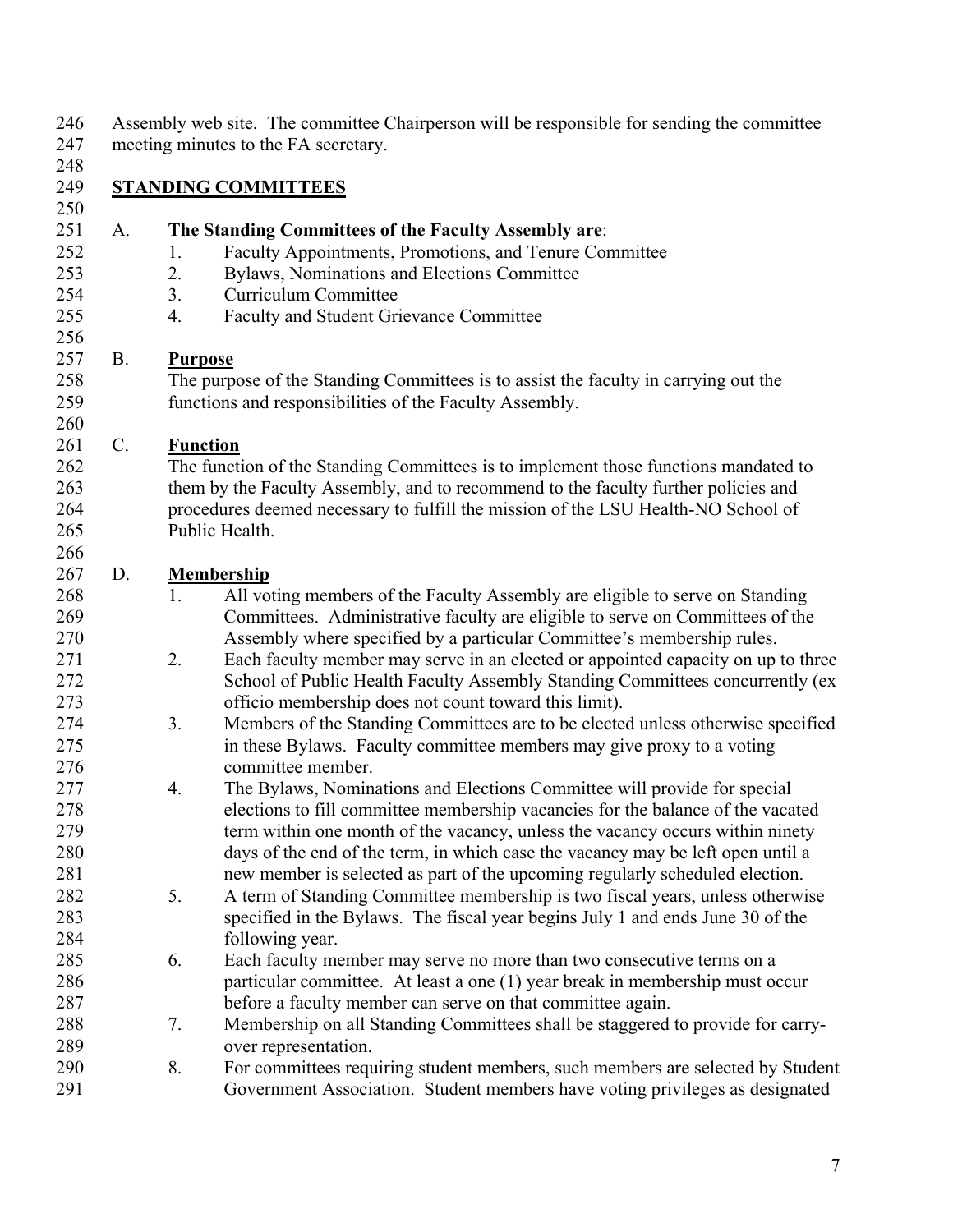|                 |                | Assembly web site. The committee Chairperson will be responsible for sending the committee<br>meeting minutes to the FA secretary. |
|-----------------|----------------|------------------------------------------------------------------------------------------------------------------------------------|
|                 |                |                                                                                                                                    |
|                 |                | <b>STANDING COMMITTEES</b>                                                                                                         |
|                 |                |                                                                                                                                    |
| A.              |                | The Standing Committees of the Faculty Assembly are:                                                                               |
|                 | 1.             | Faculty Appointments, Promotions, and Tenure Committee                                                                             |
|                 | 2.             | Bylaws, Nominations and Elections Committee                                                                                        |
|                 | 3.             | Curriculum Committee                                                                                                               |
|                 | 4.             | Faculty and Student Grievance Committee                                                                                            |
| <b>B.</b>       | <b>Purpose</b> |                                                                                                                                    |
|                 |                | The purpose of the Standing Committees is to assist the faculty in carrying out the                                                |
|                 |                | functions and responsibilities of the Faculty Assembly.                                                                            |
| $\mathcal{C}$ . |                | <b>Function</b>                                                                                                                    |
|                 |                | The function of the Standing Committees is to implement those functions mandated to                                                |
|                 |                | them by the Faculty Assembly, and to recommend to the faculty further policies and                                                 |
|                 |                | procedures deemed necessary to fulfill the mission of the LSU Health-NO School of                                                  |
|                 |                | Public Health.                                                                                                                     |
|                 |                |                                                                                                                                    |
| D.              |                | <b>Membership</b>                                                                                                                  |
|                 | 1.             | All voting members of the Faculty Assembly are eligible to serve on Standing                                                       |
|                 |                | Committees. Administrative faculty are eligible to serve on Committees of the                                                      |
|                 |                | Assembly where specified by a particular Committee's membership rules.                                                             |
|                 | 2.             | Each faculty member may serve in an elected or appointed capacity on up to three                                                   |
|                 |                | School of Public Health Faculty Assembly Standing Committees concurrently (ex                                                      |
|                 |                | officio membership does not count toward this limit).                                                                              |
|                 | 3.             | Members of the Standing Committees are to be elected unless otherwise specified                                                    |
|                 |                | in these Bylaws. Faculty committee members may give proxy to a voting                                                              |
|                 |                | committee member.                                                                                                                  |
|                 | 4.             | The Bylaws, Nominations and Elections Committee will provide for special                                                           |
|                 |                | elections to fill committee membership vacancies for the balance of the vacated                                                    |
|                 |                | term within one month of the vacancy, unless the vacancy occurs within ninety                                                      |
|                 |                | days of the end of the term, in which case the vacancy may be left open until a                                                    |
|                 |                | new member is selected as part of the upcoming regularly scheduled election.                                                       |
|                 | 5.             | A term of Standing Committee membership is two fiscal years, unless otherwise                                                      |
|                 |                | specified in the Bylaws. The fiscal year begins July 1 and ends June 30 of the                                                     |
|                 |                | following year.                                                                                                                    |
|                 | 6.             | Each faculty member may serve no more than two consecutive terms on a                                                              |
|                 |                | particular committee. At least a one (1) year break in membership must occur                                                       |
|                 |                | before a faculty member can serve on that committee again.                                                                         |
|                 | 7.             | Membership on all Standing Committees shall be staggered to provide for carry-                                                     |
|                 |                | over representation.                                                                                                               |
|                 | 8.             | For committees requiring student members, such members are selected by Student                                                     |
|                 |                | Government Association. Student members have voting privileges as designated                                                       |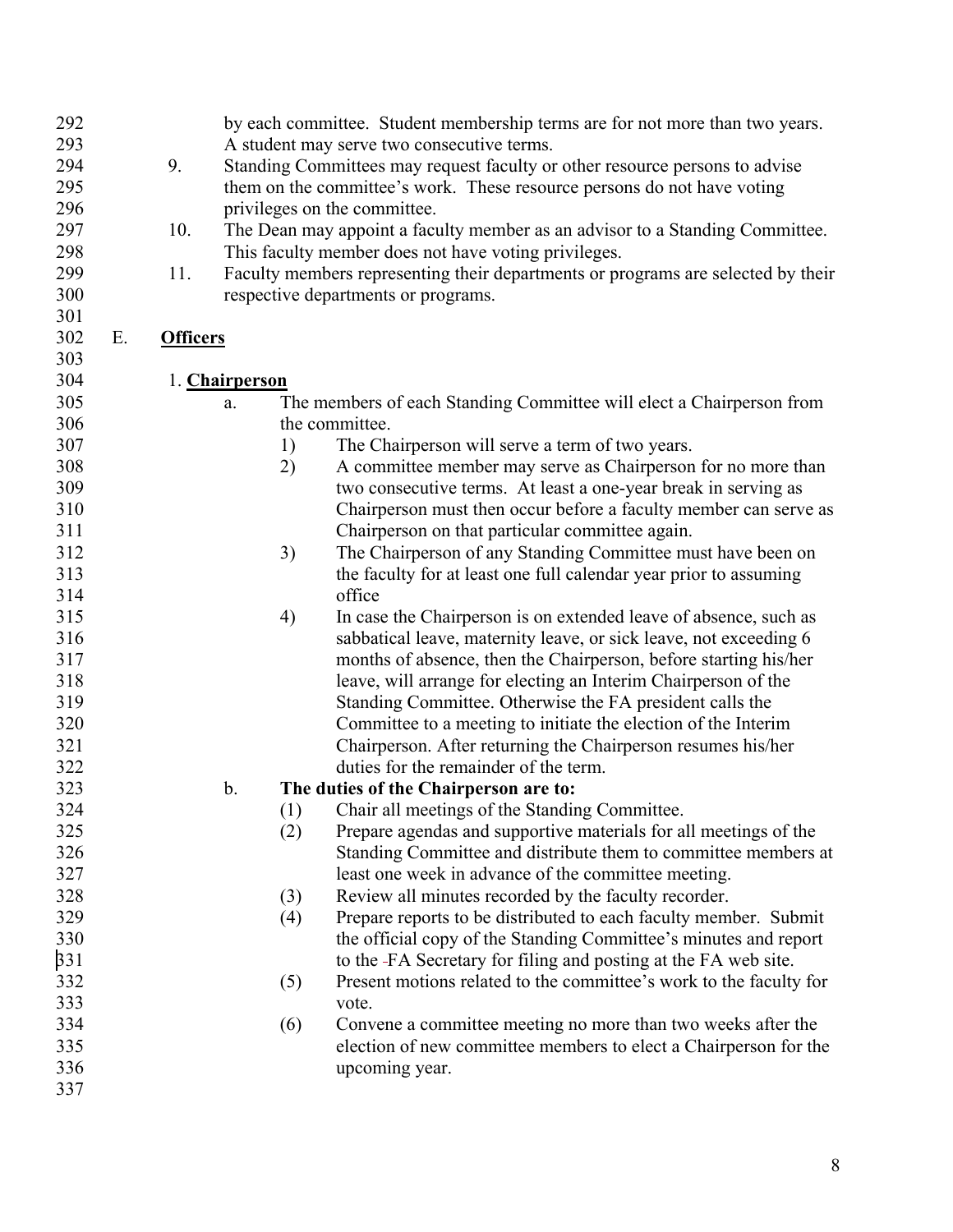| 292 |    |                 |                | by each committee. Student membership terms are for not more than two years.     |
|-----|----|-----------------|----------------|----------------------------------------------------------------------------------|
| 293 |    |                 |                | A student may serve two consecutive terms.                                       |
| 294 |    | 9.              |                | Standing Committees may request faculty or other resource persons to advise      |
| 295 |    |                 |                | them on the committee's work. These resource persons do not have voting          |
| 296 |    |                 |                | privileges on the committee.                                                     |
| 297 |    | 10.             |                | The Dean may appoint a faculty member as an advisor to a Standing Committee.     |
| 298 |    |                 |                | This faculty member does not have voting privileges.                             |
| 299 |    | 11.             |                | Faculty members representing their departments or programs are selected by their |
| 300 |    |                 |                | respective departments or programs.                                              |
| 301 |    |                 |                |                                                                                  |
| 302 | Ε. | <b>Officers</b> |                |                                                                                  |
| 303 |    |                 |                |                                                                                  |
| 304 |    |                 | 1. Chairperson |                                                                                  |
| 305 |    |                 | a.             | The members of each Standing Committee will elect a Chairperson from             |
| 306 |    |                 |                | the committee.                                                                   |
| 307 |    |                 | 1)             | The Chairperson will serve a term of two years.                                  |
| 308 |    |                 | 2)             | A committee member may serve as Chairperson for no more than                     |
| 309 |    |                 |                | two consecutive terms. At least a one-year break in serving as                   |
| 310 |    |                 |                | Chairperson must then occur before a faculty member can serve as                 |
| 311 |    |                 |                | Chairperson on that particular committee again.                                  |
| 312 |    |                 | 3)             | The Chairperson of any Standing Committee must have been on                      |
| 313 |    |                 |                | the faculty for at least one full calendar year prior to assuming                |
| 314 |    |                 |                | office                                                                           |
| 315 |    |                 | 4)             | In case the Chairperson is on extended leave of absence, such as                 |
| 316 |    |                 |                | sabbatical leave, maternity leave, or sick leave, not exceeding 6                |
| 317 |    |                 |                | months of absence, then the Chairperson, before starting his/her                 |
| 318 |    |                 |                | leave, will arrange for electing an Interim Chairperson of the                   |
| 319 |    |                 |                | Standing Committee. Otherwise the FA president calls the                         |
| 320 |    |                 |                | Committee to a meeting to initiate the election of the Interim                   |
| 321 |    |                 |                | Chairperson. After returning the Chairperson resumes his/her                     |
| 322 |    |                 |                | duties for the remainder of the term.                                            |
| 323 |    |                 | $\mathbf b$ .  | The duties of the Chairperson are to:                                            |
| 324 |    |                 | (1)            | Chair all meetings of the Standing Committee.                                    |
| 325 |    |                 | (2)            | Prepare agendas and supportive materials for all meetings of the                 |
| 326 |    |                 |                | Standing Committee and distribute them to committee members at                   |
| 327 |    |                 |                | least one week in advance of the committee meeting.                              |
| 328 |    |                 | (3)            | Review all minutes recorded by the faculty recorder.                             |
| 329 |    |                 | (4)            | Prepare reports to be distributed to each faculty member. Submit                 |
| 330 |    |                 |                | the official copy of the Standing Committee's minutes and report                 |
| 331 |    |                 |                | to the -FA Secretary for filing and posting at the FA web site.                  |
| 332 |    |                 | (5)            | Present motions related to the committee's work to the faculty for               |
| 333 |    |                 |                | vote.                                                                            |
| 334 |    |                 | (6)            | Convene a committee meeting no more than two weeks after the                     |
| 335 |    |                 |                | election of new committee members to elect a Chairperson for the                 |
| 336 |    |                 |                | upcoming year.                                                                   |
| 337 |    |                 |                |                                                                                  |
|     |    |                 |                |                                                                                  |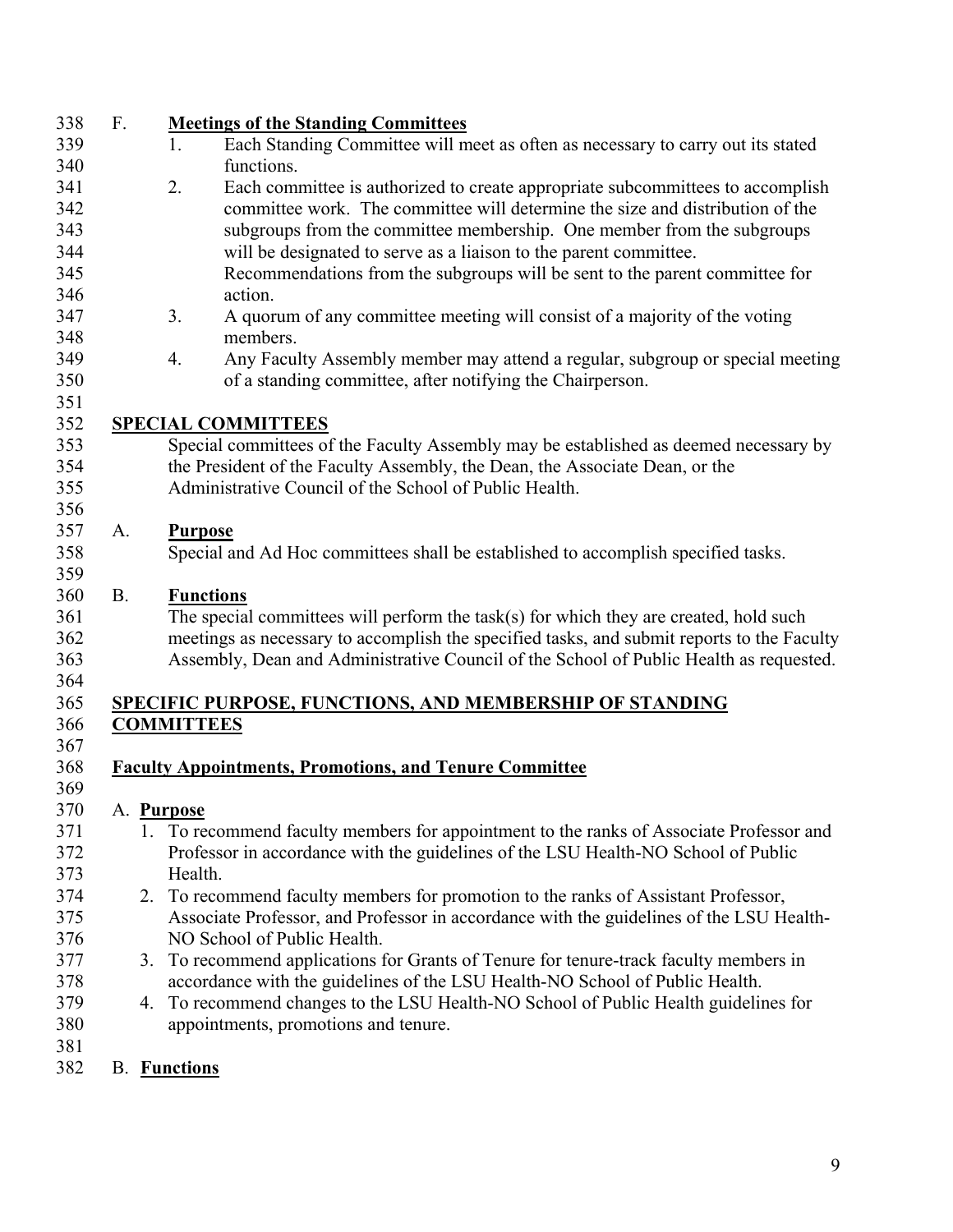| 338 | F.        |    | <b>Meetings of the Standing Committees</b>                                                 |
|-----|-----------|----|--------------------------------------------------------------------------------------------|
| 339 |           |    | Each Standing Committee will meet as often as necessary to carry out its stated<br>1.      |
| 340 |           |    | functions.                                                                                 |
| 341 |           |    | 2.<br>Each committee is authorized to create appropriate subcommittees to accomplish       |
| 342 |           |    | committee work. The committee will determine the size and distribution of the              |
| 343 |           |    | subgroups from the committee membership. One member from the subgroups                     |
| 344 |           |    | will be designated to serve as a liaison to the parent committee.                          |
| 345 |           |    | Recommendations from the subgroups will be sent to the parent committee for                |
| 346 |           |    | action.                                                                                    |
| 347 |           |    | 3.<br>A quorum of any committee meeting will consist of a majority of the voting           |
| 348 |           |    | members.                                                                                   |
| 349 |           |    | Any Faculty Assembly member may attend a regular, subgroup or special meeting<br>4.        |
| 350 |           |    | of a standing committee, after notifying the Chairperson.                                  |
| 351 |           |    |                                                                                            |
| 352 |           |    | <b>SPECIAL COMMITTEES</b>                                                                  |
| 353 |           |    | Special committees of the Faculty Assembly may be established as deemed necessary by       |
| 354 |           |    | the President of the Faculty Assembly, the Dean, the Associate Dean, or the                |
| 355 |           |    | Administrative Council of the School of Public Health.                                     |
| 356 |           |    |                                                                                            |
| 357 | A.        |    | <b>Purpose</b>                                                                             |
| 358 |           |    | Special and Ad Hoc committees shall be established to accomplish specified tasks.          |
| 359 |           |    |                                                                                            |
| 360 | <b>B.</b> |    | <b>Functions</b>                                                                           |
| 361 |           |    | The special committees will perform the task(s) for which they are created, hold such      |
| 362 |           |    | meetings as necessary to accomplish the specified tasks, and submit reports to the Faculty |
| 363 |           |    | Assembly, Dean and Administrative Council of the School of Public Health as requested.     |
| 364 |           |    |                                                                                            |
| 365 |           |    | <b>SPECIFIC PURPOSE, FUNCTIONS, AND MEMBERSHIP OF STANDING</b>                             |
| 366 |           |    | <b>COMMITTEES</b>                                                                          |
| 367 |           |    |                                                                                            |
| 368 |           |    | <b>Faculty Appointments, Promotions, and Tenure Committee</b>                              |
| 369 |           |    |                                                                                            |
| 370 |           |    | A. Purpose                                                                                 |
| 371 |           |    | 1. To recommend faculty members for appointment to the ranks of Associate Professor and    |
| 372 |           |    | Professor in accordance with the guidelines of the LSU Health-NO School of Public          |
| 373 |           |    | Health.                                                                                    |
| 374 |           |    | 2. To recommend faculty members for promotion to the ranks of Assistant Professor,         |
| 375 |           |    | Associate Professor, and Professor in accordance with the guidelines of the LSU Health-    |
| 376 |           |    | NO School of Public Health.                                                                |
| 377 |           | 3. | To recommend applications for Grants of Tenure for tenure-track faculty members in         |
| 378 |           |    | accordance with the guidelines of the LSU Health-NO School of Public Health.               |
| 379 |           |    | 4. To recommend changes to the LSU Health-NO School of Public Health guidelines for        |
| 380 |           |    | appointments, promotions and tenure.                                                       |
| 381 |           |    |                                                                                            |
| 382 |           |    | <b>B.</b> Functions                                                                        |
|     |           |    |                                                                                            |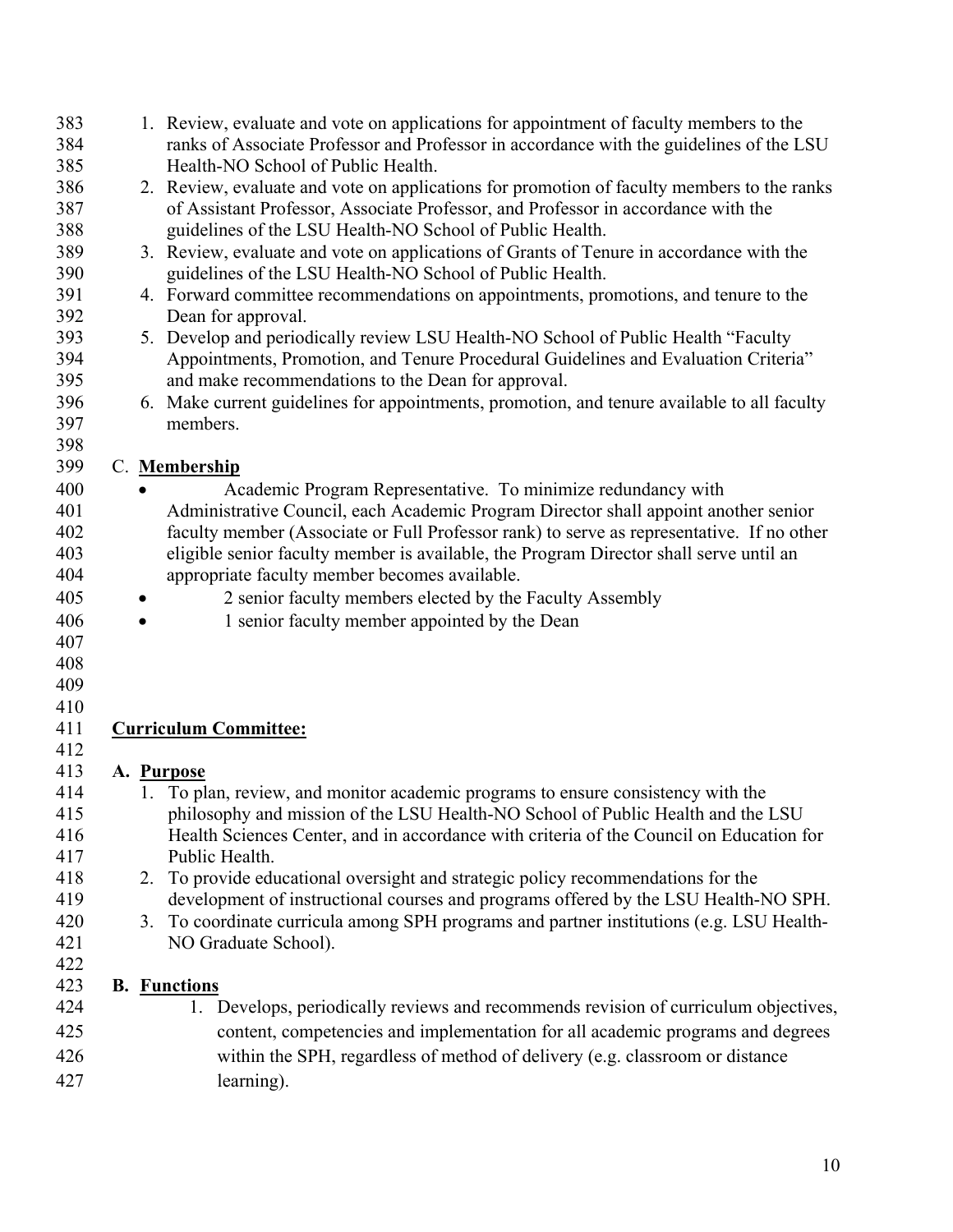| 383 | 1. Review, evaluate and vote on applications for appointment of faculty members to the      |
|-----|---------------------------------------------------------------------------------------------|
| 384 | ranks of Associate Professor and Professor in accordance with the guidelines of the LSU     |
| 385 | Health-NO School of Public Health.                                                          |
| 386 | 2. Review, evaluate and vote on applications for promotion of faculty members to the ranks  |
| 387 | of Assistant Professor, Associate Professor, and Professor in accordance with the           |
| 388 | guidelines of the LSU Health-NO School of Public Health.                                    |
| 389 | 3. Review, evaluate and vote on applications of Grants of Tenure in accordance with the     |
| 390 | guidelines of the LSU Health-NO School of Public Health.                                    |
| 391 | 4. Forward committee recommendations on appointments, promotions, and tenure to the         |
| 392 | Dean for approval.                                                                          |
| 393 | 5. Develop and periodically review LSU Health-NO School of Public Health "Faculty"          |
| 394 | Appointments, Promotion, and Tenure Procedural Guidelines and Evaluation Criteria"          |
| 395 | and make recommendations to the Dean for approval.                                          |
| 396 | 6. Make current guidelines for appointments, promotion, and tenure available to all faculty |
| 397 | members.                                                                                    |
| 398 |                                                                                             |
| 399 | C. Membership                                                                               |
| 400 | Academic Program Representative. To minimize redundancy with                                |
| 401 | Administrative Council, each Academic Program Director shall appoint another senior         |
| 402 | faculty member (Associate or Full Professor rank) to serve as representative. If no other   |
| 403 | eligible senior faculty member is available, the Program Director shall serve until an      |
| 404 | appropriate faculty member becomes available.                                               |
| 405 | 2 senior faculty members elected by the Faculty Assembly                                    |
| 406 | 1 senior faculty member appointed by the Dean                                               |
| 407 |                                                                                             |
| 408 |                                                                                             |
| 409 |                                                                                             |
| 410 |                                                                                             |
| 411 | <b>Curriculum Committee:</b>                                                                |
| 412 |                                                                                             |
| 413 | A. Purpose                                                                                  |
| 414 | 1. To plan, review, and monitor academic programs to ensure consistency with the            |
| 415 | philosophy and mission of the LSU Health-NO School of Public Health and the LSU             |
| 416 | Health Sciences Center, and in accordance with criteria of the Council on Education for     |
| 417 | Public Health.                                                                              |
| 418 | 2. To provide educational oversight and strategic policy recommendations for the            |
| 419 | development of instructional courses and programs offered by the LSU Health-NO SPH.         |
| 420 | 3. To coordinate curricula among SPH programs and partner institutions (e.g. LSU Health-    |
| 421 | NO Graduate School).                                                                        |
| 422 |                                                                                             |
| 423 | <b>B.</b> Functions                                                                         |
| 424 | 1. Develops, periodically reviews and recommends revision of curriculum objectives,         |
| 425 | content, competencies and implementation for all academic programs and degrees              |
| 426 | within the SPH, regardless of method of delivery (e.g. classroom or distance                |
| 427 | learning).                                                                                  |
|     |                                                                                             |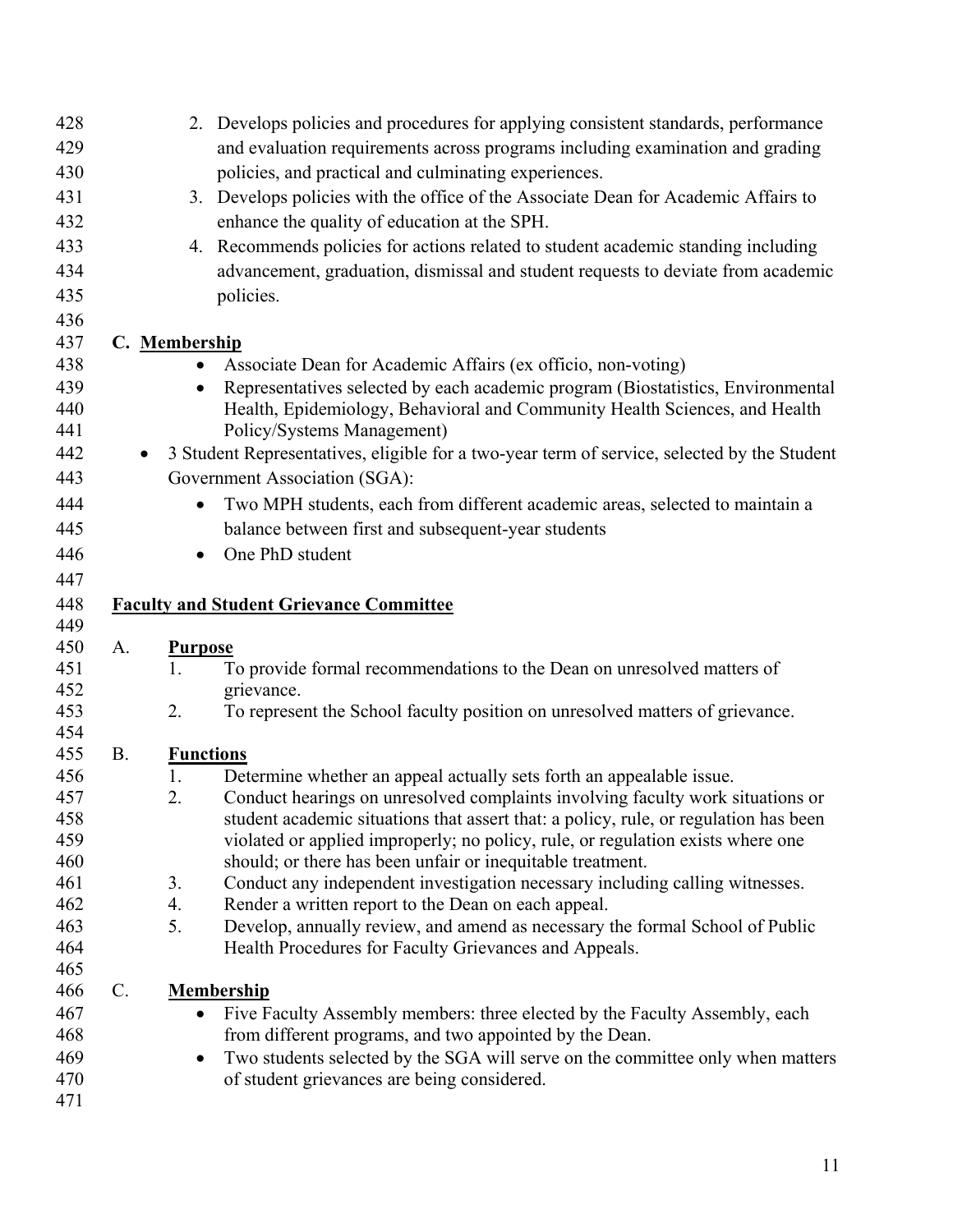| 428        |                 |                  | 2. Develops policies and procedures for applying consistent standards, performance          |
|------------|-----------------|------------------|---------------------------------------------------------------------------------------------|
| 429        |                 |                  | and evaluation requirements across programs including examination and grading               |
| 430        |                 |                  | policies, and practical and culminating experiences.                                        |
| 431        |                 |                  | 3. Develops policies with the office of the Associate Dean for Academic Affairs to          |
| 432        |                 |                  | enhance the quality of education at the SPH.                                                |
| 433        |                 |                  | 4. Recommends policies for actions related to student academic standing including           |
| 434        |                 |                  | advancement, graduation, dismissal and student requests to deviate from academic            |
| 435        |                 |                  | policies.                                                                                   |
| 436        |                 |                  |                                                                                             |
| 437        |                 | C. Membership    |                                                                                             |
| 438        |                 | $\bullet$        | Associate Dean for Academic Affairs (ex officio, non-voting)                                |
| 439        |                 |                  | Representatives selected by each academic program (Biostatistics, Environmental             |
| 440        |                 |                  | Health, Epidemiology, Behavioral and Community Health Sciences, and Health                  |
| 441        |                 |                  | Policy/Systems Management)                                                                  |
| 442        | $\bullet$       |                  | 3 Student Representatives, eligible for a two-year term of service, selected by the Student |
| 443        |                 |                  | Government Association (SGA):                                                               |
| 444        |                 | $\bullet$        | Two MPH students, each from different academic areas, selected to maintain a                |
| 445        |                 |                  | balance between first and subsequent-year students                                          |
| 446        |                 | $\bullet$        | One PhD student                                                                             |
| 447        |                 |                  |                                                                                             |
| 448        |                 |                  | <b>Faculty and Student Grievance Committee</b>                                              |
| 449        |                 |                  |                                                                                             |
| 450        | A.              | <b>Purpose</b>   |                                                                                             |
| 451        |                 | 1.               | To provide formal recommendations to the Dean on unresolved matters of                      |
| 452        |                 |                  | grievance.                                                                                  |
| 453<br>454 |                 | 2.               | To represent the School faculty position on unresolved matters of grievance.                |
| 455        | <b>B.</b>       | <b>Functions</b> |                                                                                             |
| 456        |                 | 1.               | Determine whether an appeal actually sets forth an appealable issue.                        |
| 457        |                 | 2.               | Conduct hearings on unresolved complaints involving faculty work situations or              |
| 458        |                 |                  | student academic situations that assert that: a policy, rule, or regulation has been        |
| 459        |                 |                  | violated or applied improperly; no policy, rule, or regulation exists where one             |
| 460        |                 |                  | should; or there has been unfair or inequitable treatment.                                  |
| 461        |                 | 3.               | Conduct any independent investigation necessary including calling witnesses.                |
| 462        |                 | 4.               | Render a written report to the Dean on each appeal.                                         |
| 463        |                 | 5.               | Develop, annually review, and amend as necessary the formal School of Public                |
| 464        |                 |                  | Health Procedures for Faculty Grievances and Appeals.                                       |
| 465        |                 |                  |                                                                                             |
| 466        | $\mathcal{C}$ . |                  | <b>Membership</b>                                                                           |
| 467        |                 |                  | Five Faculty Assembly members: three elected by the Faculty Assembly, each                  |
| 468        |                 |                  | from different programs, and two appointed by the Dean.                                     |
| 469        |                 | $\bullet$        | Two students selected by the SGA will serve on the committee only when matters              |
| 470        |                 |                  | of student grievances are being considered.                                                 |
| 471        |                 |                  |                                                                                             |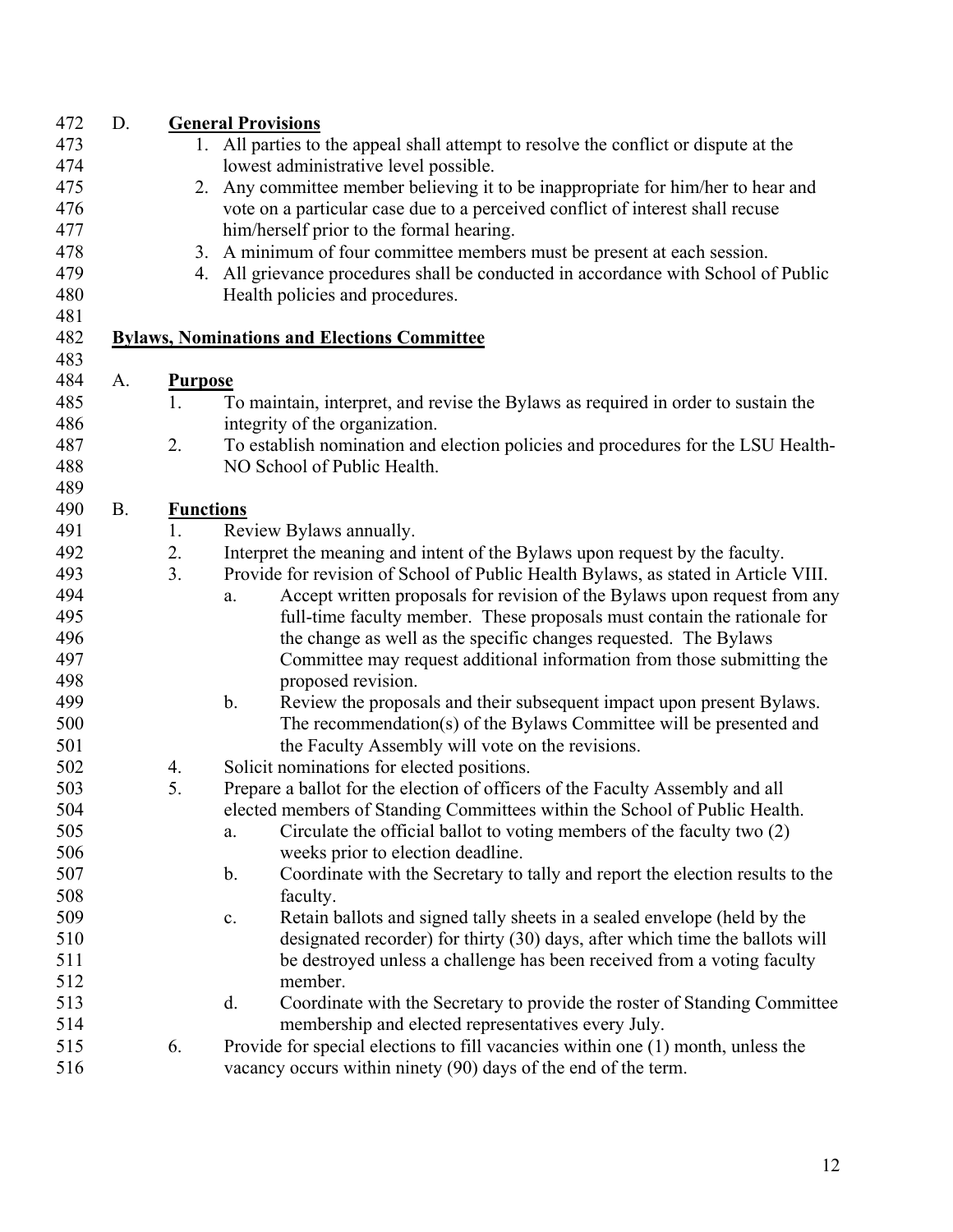| 472 | D.        |                  | <b>General Provisions</b>                                                                 |
|-----|-----------|------------------|-------------------------------------------------------------------------------------------|
| 473 |           |                  | 1. All parties to the appeal shall attempt to resolve the conflict or dispute at the      |
| 474 |           |                  | lowest administrative level possible.                                                     |
| 475 |           |                  | 2. Any committee member believing it to be inappropriate for him/her to hear and          |
| 476 |           |                  | vote on a particular case due to a perceived conflict of interest shall recuse            |
| 477 |           |                  | him/herself prior to the formal hearing.                                                  |
| 478 |           |                  | 3. A minimum of four committee members must be present at each session.                   |
| 479 |           |                  | 4. All grievance procedures shall be conducted in accordance with School of Public        |
| 480 |           |                  | Health policies and procedures.                                                           |
| 481 |           |                  |                                                                                           |
| 482 |           |                  | <b>Bylaws, Nominations and Elections Committee</b>                                        |
| 483 |           |                  |                                                                                           |
| 484 | A.        | <b>Purpose</b>   |                                                                                           |
| 485 |           | 1.               | To maintain, interpret, and revise the Bylaws as required in order to sustain the         |
| 486 |           |                  | integrity of the organization.                                                            |
| 487 |           | 2.               | To establish nomination and election policies and procedures for the LSU Health-          |
| 488 |           |                  | NO School of Public Health.                                                               |
| 489 |           |                  |                                                                                           |
| 490 | <b>B.</b> | <b>Functions</b> |                                                                                           |
| 491 |           | 1.               | Review Bylaws annually.                                                                   |
| 492 |           | 2.               | Interpret the meaning and intent of the Bylaws upon request by the faculty.               |
| 493 |           | 3.               | Provide for revision of School of Public Health Bylaws, as stated in Article VIII.        |
| 494 |           |                  | Accept written proposals for revision of the Bylaws upon request from any<br>a.           |
| 495 |           |                  | full-time faculty member. These proposals must contain the rationale for                  |
| 496 |           |                  | the change as well as the specific changes requested. The Bylaws                          |
| 497 |           |                  | Committee may request additional information from those submitting the                    |
| 498 |           |                  | proposed revision.                                                                        |
| 499 |           |                  | $\mathbf b$ .<br>Review the proposals and their subsequent impact upon present Bylaws.    |
| 500 |           |                  | The recommendation(s) of the Bylaws Committee will be presented and                       |
| 501 |           |                  | the Faculty Assembly will vote on the revisions.                                          |
| 502 |           | 4.               | Solicit nominations for elected positions.                                                |
| 503 |           | 5.               | Prepare a ballot for the election of officers of the Faculty Assembly and all             |
| 504 |           |                  | elected members of Standing Committees within the School of Public Health.                |
| 505 |           |                  | Circulate the official ballot to voting members of the faculty two (2)<br>a.              |
| 506 |           |                  | weeks prior to election deadline.                                                         |
| 507 |           |                  | Coordinate with the Secretary to tally and report the election results to the<br>b.       |
| 508 |           |                  | faculty.                                                                                  |
| 509 |           |                  | Retain ballots and signed tally sheets in a sealed envelope (held by the<br>$\mathbf{c}.$ |
| 510 |           |                  | designated recorder) for thirty (30) days, after which time the ballots will              |
| 511 |           |                  | be destroyed unless a challenge has been received from a voting faculty                   |
| 512 |           |                  | member.                                                                                   |
| 513 |           |                  | Coordinate with the Secretary to provide the roster of Standing Committee<br>d.           |
| 514 |           |                  | membership and elected representatives every July.                                        |
| 515 |           | 6.               | Provide for special elections to fill vacancies within one (1) month, unless the          |
| 516 |           |                  | vacancy occurs within ninety (90) days of the end of the term.                            |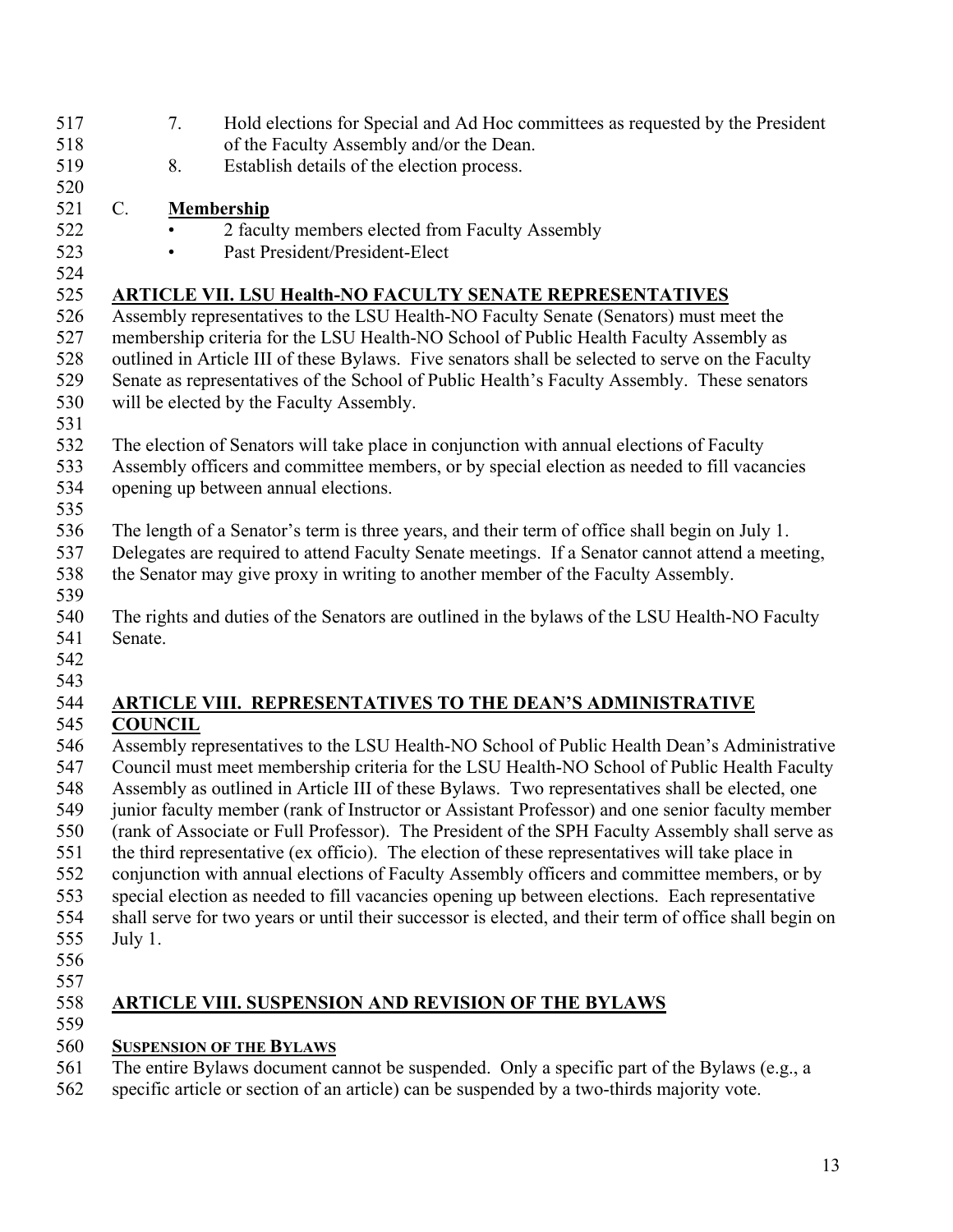| 517        |         | 7.             | Hold elections for Special and Ad Hoc committees as requested by the President                                                                                                                |
|------------|---------|----------------|-----------------------------------------------------------------------------------------------------------------------------------------------------------------------------------------------|
| 518        |         |                | of the Faculty Assembly and/or the Dean.                                                                                                                                                      |
| 519        |         | 8.             | Establish details of the election process.                                                                                                                                                    |
| 520        |         |                |                                                                                                                                                                                               |
| 521        | $C$ .   |                | <b>Membership</b>                                                                                                                                                                             |
| 522        |         |                | 2 faculty members elected from Faculty Assembly                                                                                                                                               |
| 523        |         |                | Past President/President-Elect                                                                                                                                                                |
| 524        |         |                |                                                                                                                                                                                               |
| 525        |         |                | <b>ARTICLE VII. LSU Health-NO FACULTY SENATE REPRESENTATIVES</b>                                                                                                                              |
| 526        |         |                | Assembly representatives to the LSU Health-NO Faculty Senate (Senators) must meet the                                                                                                         |
| 527        |         |                | membership criteria for the LSU Health-NO School of Public Health Faculty Assembly as                                                                                                         |
| 528        |         |                | outlined in Article III of these Bylaws. Five senators shall be selected to serve on the Faculty                                                                                              |
| 529        |         |                | Senate as representatives of the School of Public Health's Faculty Assembly. These senators                                                                                                   |
| 530        |         |                | will be elected by the Faculty Assembly.                                                                                                                                                      |
| 531        |         |                |                                                                                                                                                                                               |
| 532        |         |                | The election of Senators will take place in conjunction with annual elections of Faculty                                                                                                      |
| 533        |         |                | Assembly officers and committee members, or by special election as needed to fill vacancies                                                                                                   |
| 534        |         |                | opening up between annual elections.                                                                                                                                                          |
| 535        |         |                |                                                                                                                                                                                               |
| 536        |         |                | The length of a Senator's term is three years, and their term of office shall begin on July 1.                                                                                                |
| 537        |         |                | Delegates are required to attend Faculty Senate meetings. If a Senator cannot attend a meeting,                                                                                               |
| 538        |         |                | the Senator may give proxy in writing to another member of the Faculty Assembly.                                                                                                              |
| 539        |         |                |                                                                                                                                                                                               |
| 540        |         |                | The rights and duties of the Senators are outlined in the bylaws of the LSU Health-NO Faculty                                                                                                 |
| 541        | Senate. |                |                                                                                                                                                                                               |
| 542        |         |                |                                                                                                                                                                                               |
| 543<br>544 |         |                |                                                                                                                                                                                               |
| 545        |         | <b>COUNCIL</b> | <b>ARTICLE VIII. REPRESENTATIVES TO THE DEAN'S ADMINISTRATIVE</b>                                                                                                                             |
| 546        |         |                | Assembly representatives to the LSU Health-NO School of Public Health Dean's Administrative                                                                                                   |
| 547        |         |                | Council must meet membership criteria for the LSU Health-NO School of Public Health Faculty                                                                                                   |
| 548        |         |                | Assembly as outlined in Article III of these Bylaws. Two representatives shall be elected, one                                                                                                |
| 549        |         |                | junior faculty member (rank of Instructor or Assistant Professor) and one senior faculty member                                                                                               |
| 550        |         |                | (rank of Associate or Full Professor). The President of the SPH Faculty Assembly shall serve as                                                                                               |
| 551        |         |                |                                                                                                                                                                                               |
| 552        |         |                | the third representative (ex officio). The election of these representatives will take place in                                                                                               |
| 553        |         |                | conjunction with annual elections of Faculty Assembly officers and committee members, or by<br>special election as needed to fill vacancies opening up between elections. Each representative |
| 554        |         |                | shall serve for two years or until their successor is elected, and their term of office shall begin on                                                                                        |
| 555        |         |                |                                                                                                                                                                                               |
| 556        | July 1. |                |                                                                                                                                                                                               |
| 557        |         |                |                                                                                                                                                                                               |
| 558        |         |                | <b>ARTICLE VIII. SUSPENSION AND REVISION OF THE BYLAWS</b>                                                                                                                                    |
| 559        |         |                |                                                                                                                                                                                               |
| 560        |         |                |                                                                                                                                                                                               |
| 561        |         |                | <b>SUSPENSION OF THE BYLAWS</b><br>The entire Bylaws document cannot be suspended. Only a specific part of the Bylaws (e.g., a                                                                |
|            |         |                |                                                                                                                                                                                               |

562 specific article or section of an article) can be suspended by a two-thirds majority vote.